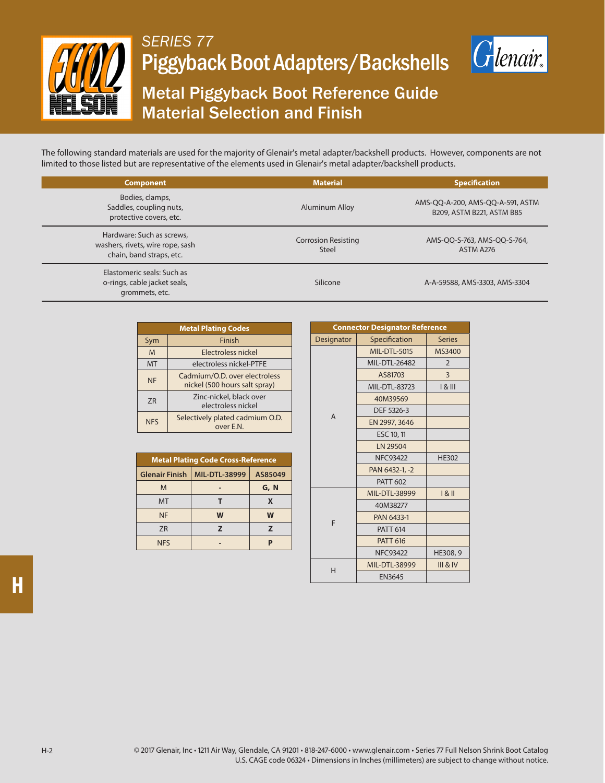

## *SERIES 77* Piggyback Boot Adapters/Backshells



## Metal Piggyback Boot Reference Guide Material Selection and Finish

The following standard materials are used for the majority of Glenair's metal adapter/backshell products. However, components are not limited to those listed but are representative of the elements used in Glenair's metal adapter/backshell products.

| <b>Component</b>                                                                          | <b>Material</b>                            | <b>Specification</b>                                          |  |  |
|-------------------------------------------------------------------------------------------|--------------------------------------------|---------------------------------------------------------------|--|--|
| Bodies, clamps,<br>Saddles, coupling nuts,<br>protective covers, etc.                     | Aluminum Alloy                             | AMS-QQ-A-200, AMS-QQ-A-591, ASTM<br>B209, ASTM B221, ASTM B85 |  |  |
| Hardware: Such as screws,<br>washers, rivets, wire rope, sash<br>chain, band straps, etc. | <b>Corrosion Resisting</b><br><b>Steel</b> | AMS-QQ-S-763, AMS-QQ-S-764,<br>ASTM A276                      |  |  |
| Elastomeric seals: Such as<br>o-rings, cable jacket seals,<br>grommets, etc.              | Silicone                                   | A-A-59588, AMS-3303, AMS-3304                                 |  |  |

| <b>Metal Plating Codes</b> |                                                                |  |  |
|----------------------------|----------------------------------------------------------------|--|--|
| Sym                        | Finish                                                         |  |  |
| M                          | Electroless nickel                                             |  |  |
| <b>MT</b>                  | electroless nickel-PTFE                                        |  |  |
| <b>NF</b>                  | Cadmium/O.D. over electroless<br>nickel (500 hours salt spray) |  |  |
| 7R                         | Zinc-nickel, black over<br>electroless nickel                  |  |  |
| <b>NFS</b>                 | Selectively plated cadmium O.D.<br>over E.N.                   |  |  |

| <b>Metal Plating Code Cross-Reference</b> |                      |         |  |  |
|-------------------------------------------|----------------------|---------|--|--|
| <b>Glenair Finish</b>                     | <b>MIL-DTL-38999</b> | AS85049 |  |  |
| M                                         |                      | G, N    |  |  |
| <b>MT</b>                                 |                      | X       |  |  |
| <b>NF</b>                                 | W                    | W       |  |  |
| 7R                                        | $\overline{ }$       | 7       |  |  |
| <b>NFS</b>                                |                      |         |  |  |

| <b>Connector Designator Reference</b> |                 |                     |  |  |
|---------------------------------------|-----------------|---------------------|--|--|
| Designator                            | Specification   | <b>Series</b>       |  |  |
|                                       | MIL-DTL-5015    | MS3400              |  |  |
|                                       | MIL-DTL-26482   | $\overline{2}$      |  |  |
|                                       | AS81703         | 3                   |  |  |
|                                       | MIL-DTL-83723   | $18$ III            |  |  |
|                                       | 40M39569        |                     |  |  |
| $\overline{A}$                        | DEF 5326-3      |                     |  |  |
|                                       | EN 2997, 3646   |                     |  |  |
|                                       | ESC 10, 11      |                     |  |  |
|                                       | LN 29504        |                     |  |  |
|                                       | <b>NFC93422</b> | <b>HE302</b>        |  |  |
|                                       | PAN 6432-1, -2  |                     |  |  |
|                                       | <b>PATT 602</b> |                     |  |  |
| F                                     | MIL-DTL-38999   | 181                 |  |  |
|                                       | 40M38277        |                     |  |  |
|                                       | PAN 6433-1      |                     |  |  |
|                                       | <b>PATT 614</b> |                     |  |  |
|                                       | <b>PATT 616</b> |                     |  |  |
|                                       | <b>NFC93422</b> | HE308, 9            |  |  |
| H                                     | MIL-DTL-38999   | <b>III &amp; IV</b> |  |  |
|                                       | <b>EN3645</b>   |                     |  |  |

**H**